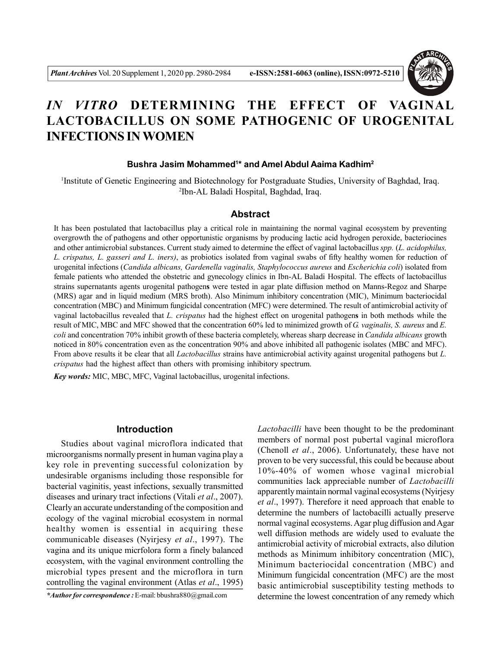

# *IN VITRO* **DETERMINING THE EFFECT OF VAGINAL LACTOBACILLUS ON SOME PATHOGENIC OF UROGENITAL INFECTIONS IN WOMEN**

## **Bushra Jasim Mohammed<sup>1</sup> \* and Amel Abdul Aaima Kadhim<sup>2</sup>**

<sup>1</sup>Institute of Genetic Engineering and Biotechnology for Postgraduate Studies, University of Baghdad, Iraq. 2 Ibn-AL Baladi Hospital, Baghdad, Iraq.

#### **Abstract**

It has been postulated that lactobacillus play a critical role in maintaining the normal vaginal ecosystem by preventing overgrowth the of pathogens and other opportunistic organisms by producing lactic acid hydrogen peroxide, bacteriocines and other antimicrobial substances. Current study aimed to determine the effect of vaginal lactobacillus *spp.* (*L. acidophilus, L. crispatus, L. gasseri and L. iners)*, as probiotics isolated from vaginal swabs of fifty healthy women for reduction of urogenital infections (*Candida albicans, Gardenella vaginalis, Staphylococcus aureus* and *Escherichia coli*) isolated from female patients who attended the obstetric and gynecology clinics in Ibn-AL Baladi Hospital. The effects of lactobacillus strains supernatants agents urogenital pathogen**s** were tested in agar plate diffusion method on Manns-Regoz and Sharpe (MRS) agar and in liquid medium (MRS broth). Also Minimum inhibitory concentration (MIC), Minimum bacteriocidal concentration (MBC) and Minimum fungicidal concentration (MFC) were determined. The result of antimicrobial activity of vaginal lactobacillus revealed that *L. crispatus* had the highest effect on urogenital pathogen**s** in both methods while the result of MIC, MBC and MFC showed that the concentration 60% led to minimized growth of *G. vaginalis, S. aureus* and *E. coli* and concentration 70% inhibit growth of these bacteria completely, whereas sharp decrease in *Candida albicans* growth noticed in 80% concentration even as the concentration 90% and above inhibited all pathogenic isolates (MBC and MFC). From above results it be clear that all *Lactobacillus* strains have antimicrobial activity against urogenital pathogens but *L. crispatus* had the highest affect than others with promising inhibitory spectrum.

*Key words:* MIC, MBC, MFC, Vaginal lactobacillus, urogenital infections.

#### **Introduction**

Studies about vaginal microflora indicated that microorganisms normally present in human vagina play a key role in preventing successful colonization by undesirable organisms including those responsible for bacterial vaginitis, yeast infections, sexually transmitted diseases and urinary tract infections (Vitali *et al*., 2007). Clearly an accurate understanding of the composition and ecology of the vaginal microbial ecosystem in normal healthy women is essential in acquiring these communicable diseases (Nyirjesy *et al*., 1997). The vagina and its unique micrfolora form a finely balanced ecosystem, with the vaginal environment controlling the microbial types present and the microflora in turn controlling the vaginal environment (Atlas *et al*., 1995)

*\*Author for correspondence :* E-mail: bbushra880@gmail.com

*Lactobacilli* have been thought to be the predominant members of normal post pubertal vaginal microflora (Chenoll *et al*., 2006). Unfortunately, these have not proven to be very successful, this could be because about 10%-40% of women whose vaginal microbial communities lack appreciable number of *Lactobacilli* apparently maintain normal vaginal ecosystems (Nyirjesy *et al*., 1997). Therefore it need approach that enable to determine the numbers of lactobacilli actually preserve normal vaginal ecosystems. Agar plug diffusion and Agar well diffusion methods are widely used to evaluate the antimicrobial activity of microbial extracts, also dilution methods as Minimum inhibitory concentration (MIC), Minimum bacteriocidal concentration (MBC) and Minimum fungicidal concentration (MFC) are the most basic antimicrobial susceptibility testing methods to determine the lowest concentration of any remedy which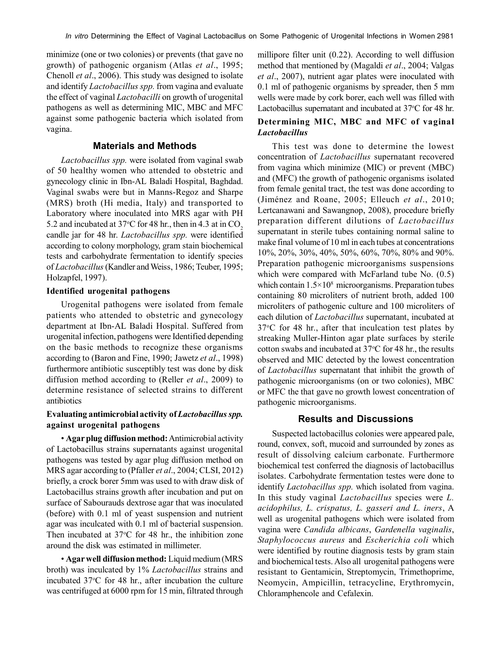minimize (one or two colonies) or prevents (that gave no growth) of pathogenic organism (Atlas *et al*., 1995; Chenoll *et al*., 2006). This study was designed to isolate and identify *Lactobacillus spp.* from vagina and evaluate the effect of vaginal *Lactobacilli* on growth of urogenital pathogens as well as determining MIC, MBC and MFC against some pathogenic bacteria which isolated from vagina.

## **Materials and Methods**

*Lactobacillus spp.* were isolated from vaginal swab of 50 healthy women who attended to obstetric and gynecology clinic in Ibn-AL Baladi Hospital, Baghdad. Vaginal swabs were but in Manns-Regoz and Sharpe (MRS) broth (Hi media, Italy) and transported to Laboratory where inoculated into MRS agar with PH 5.2 and incubated at  $37^{\circ}$ C for 48 hr., then in 4.3 at in CO<sub>2</sub> candle jar for 48 hr. *Lactobacillus spp.* were identified according to colony morphology, gram stain biochemical tests and carbohydrate fermentation to identify species of *Lactobacillus* (Kandler and Weiss, 1986; Teuber, 1995; Holzapfel, 1997).

#### **Identified urogenital pathogens**

Urogenital pathogens were isolated from female patients who attended to obstetric and gynecology department at Ibn-AL Baladi Hospital. Suffered from urogenital infection, pathogens were Identified depending on the basic methods to recognize these organisms according to (Baron and Fine, 1990; Jawetz *et al*., 1998) furthermore antibiotic susceptibly test was done by disk diffusion method according to (Reller *et al*., 2009) to determine resistance of selected strains to different antibiotics

# **Evaluating antimicrobial activity of** *Lactobacillus spp.* **against urogenital pathogens**

• **Agar plug diffusion method:** Antimicrobial activity of Lactobacillus strains supernatants against urogenital pathogens was tested by agar plug diffusion method on MRS agar according to (Pfaller *et al*., 2004; CLSI, 2012) briefly, a crock borer 5mm was used to with draw disk of Lactobacillus strains growth after incubation and put on surface of Sabourauds dextrose agar that was inoculated (before) with 0.1 ml of yeast suspension and nutrient agar was inculcated with 0.1 ml of bacterial suspension. Then incubated at  $37^{\circ}$ C for 48 hr., the inhibition zone around the disk was estimated in millimeter.

• **Agar well diffusion method:** Liquid medium (MRS broth) was inculcated by 1% *Lactobacillus* strains and incubated  $37^{\circ}$ C for 48 hr., after incubation the culture was centrifuged at 6000 rpm for 15 min, filtrated through millipore filter unit (0.22). According to well diffusion method that mentioned by (Magaldi *et al*., 2004; Valgas *et al*., 2007), nutrient agar plates were inoculated with 0.1 ml of pathogenic organisms by spreader, then 5 mm wells were made by cork borer, each well was filled with Lactobacillus supernatant and incubated at 37°C for 48 hr.

# **Determining MIC, MBC and MFC of vaginal** *Lactobacillus*

This test was done to determine the lowest concentration of *Lactobacillus* supernatant recovered from vagina which minimize (MIC) or prevent (MBC) and (MFC) the growth of pathogenic organisms isolated from female genital tract, the test was done according to (Jiménez and Roane, 2005; Elleuch *et al*., 2010; Lertcanawani and Sawangnop, 2008), procedure briefly preparation different dilutions of *Lactobacillus* supernatant in sterile tubes containing normal saline to make final volume of 10 ml in each tubes at concentrations 10%, 20%, 30%, 40%, 50%, 60%, 70%, 80% and 90%. Preparation pathogenic microorganisms suspensions which were compared with McFarland tube No.  $(0.5)$ which contain  $1.5 \times 10^8$  microorganisms. Preparation tubes containing 80 microliters of nutrient broth, added 100 microliters of pathogenic culture and 100 microliters of each dilution of *Lactobacillus* supernatant, incubated at  $37^{\circ}$ C for 48 hr., after that inculcation test plates by streaking Muller-Hinton agar plate surfaces by sterile cotton swabs and incubated at 37°C for 48 hr., the results observed and MIC detected by the lowest concentration of *Lactobacillus* supernatant that inhibit the growth of pathogenic microorganisms (on or two colonies), MBC or MFC the that gave no growth lowest concentration of pathogenic microorganisms.

## **Results and Discussions**

Suspected lactobacillus colonies were appeared pale, round, convex, soft, mucoid and surrounded by zones as result of dissolving calcium carbonate. Furthermore biochemical test conferred the diagnosis of lactobacillus isolates. Carbohydrate fermentation testes were done to identify *Lactobacillus spp.* which isolated from vagina. In this study vaginal *Lactobacillus* species were *L. acidophilus, L. crispatus, L. gasseri and L. iners*, A well as urogenital pathogens which were isolated from vagina were *Candida albicans*, *Gardenella vaginalis*, *Staphylococcus aureus* and *Escherichia coli* which were identified by routine diagnosis tests by gram stain and biochemical tests. Also all urogenital pathogens were resistant to Gentamicin, Streptomycin, Trimethoprime, Neomycin, Ampicillin, tetracycline, Erythromycin, Chloramphencole and Cefalexin.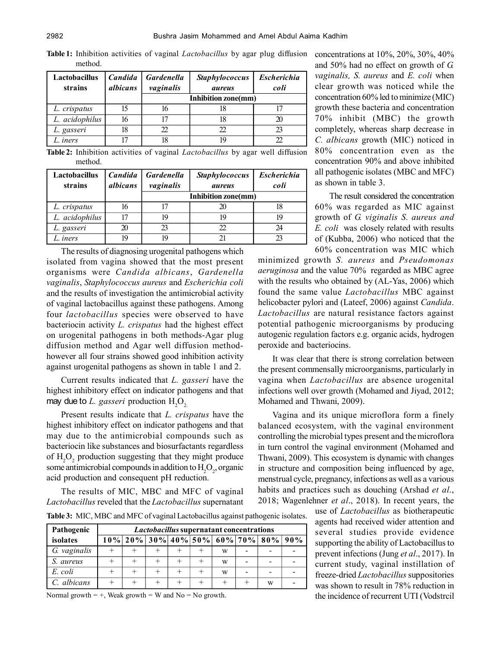| <b>Table 1:</b> Inhibition activities of vaginal <i>Lactobacillus</i> by agar plug diffusion<br>method. |  |                                                                                 |                              |  |
|---------------------------------------------------------------------------------------------------------|--|---------------------------------------------------------------------------------|------------------------------|--|
| Lactobacillus   Candida   Gardenella  <br>$\cdots$ $\cdots$ $\cdots$                                    |  | the contract of the contract of the contract of the contract of the contract of | Staphylococcus   Escherichia |  |

| strains        | albicans | vaginalis | aureus              | coli |
|----------------|----------|-----------|---------------------|------|
|                |          |           | Inhibition zone(mm) |      |
| L. crispatus   |          |           |                     |      |
| L. acidophilus | 16       |           |                     |      |
| L. gasseri     | 18       |           |                     |      |
| L. iners       |          | 18        |                     |      |

**Table 2:** Inhibition activities of vaginal *Lactobacillus* by agar well diffusion method.

| Lactobacillus<br>strains | <b>Candida</b><br><i>albicans</i> | <b>Gardenella</b><br>vaginalis | <b>Staphylococcus</b><br>aureus | <b>Escherichia</b><br>coli |  |  |  |  |
|--------------------------|-----------------------------------|--------------------------------|---------------------------------|----------------------------|--|--|--|--|
|                          |                                   | Inhibition zone(mm)            |                                 |                            |  |  |  |  |
| L. crispatus             | 16                                |                                |                                 |                            |  |  |  |  |
| L. acidophilus           |                                   | 19                             | 19                              | 19                         |  |  |  |  |
| L. gasseri               | 20                                | 23                             |                                 | 24                         |  |  |  |  |
| L. iners                 | 19                                | 19                             |                                 |                            |  |  |  |  |

The results of diagnosing urogenital pathogens which isolated from vagina showed that the most present organisms were *Candida albicans*, *Gardenella vaginalis*, *Staphylococcus aureus* and *Escherichia coli* and the results of investigation the antimicrobial activity of vaginal lactobacillus against these pathogens. Among four *lactobacillus* species were observed to have bacteriocin activity *L. crispatus* had the highest effect on urogenital pathogens in both methods-Agar plug diffusion method and Agar well diffusion methodhowever all four strains showed good inhibition activity against urogenital pathogens as shown in table 1 and 2.

Current results indicated that *L. gasseri* have the highest inhibitory effect on indicator pathogens and that may due to *L. gasseri* production H<sub>2</sub>O<sub>2</sub>.

Present results indicate that *L. crispatus* have the highest inhibitory effect on indicator pathogens and that may due to the antimicrobial compounds such as bacteriocin like substances and biosurfactants regardless of  $H_2O_2$  production suggesting that they might produce some antimicrobial compounds in addition to  $H_2O_2$ , organic acid production and consequent pH reduction.

The results of MIC, MBC and MFC of vaginal *Lactobacillus* reveled that the *Lactobacillus* supernatant

| Pathogenic   | <i>Lactobacillus</i> supernatant concentrations |  |  |  |  |   |                                        |  |
|--------------|-------------------------------------------------|--|--|--|--|---|----------------------------------------|--|
| isolates     |                                                 |  |  |  |  |   | $10\%$ 20% 30% 40% 50% 60% 70% 80% 90% |  |
| G. vaginalis |                                                 |  |  |  |  | W |                                        |  |
| S. aureus    |                                                 |  |  |  |  | W |                                        |  |
| E. coli      |                                                 |  |  |  |  | W |                                        |  |
| C. albicans  |                                                 |  |  |  |  |   | w                                      |  |

**Table 3:** MIC, MBC and MFC of vaginal Lactobacillus against pathogenic isolates.

Normal growth  $= +$ , Weak growth  $= W$  and No  $= N$ o growth.

concentrations at 10%, 20%, 30%, 40% and 50% had no effect on growth of *G. vaginalis, S. aureus* and *E. coli* when clear growth was noticed while the concentration 60% led to minimize (MIC) growth these bacteria and concentration 70% inhibit (MBC) the growth completely, whereas sharp decrease in *C. albicans* growth (MIC) noticed in 80% concentration even as the concentration 90% and above inhibited all pathogenic isolates (MBC and MFC) as shown in table 3.

The result considered the concentration 60% was regarded as MIC against growth of *G. viginalis S. aureus and E. coli* was closely related with results of (Kubba, 2006) who noticed that the 60% concentration was MIC which

minimized growth *S. aureus* and *Pseudomonas aeruginosa* and the value 70% regarded as MBC agree with the results who obtained by (AL-Yas, 2006) which found the same value *Lactobacillus* MBC against helicobacter pylori and (Lateef, 2006) against *Candida*. *Lactobacillus* are natural resistance factors against potential pathogenic microorganisms by producing autogenic regulation factors e.g. organic acids, hydrogen peroxide and bacteriocins.

It was clear that there is strong correlation between the present commensally microorganisms, particularly in vagina when *Lactobacillus* are absence urogenital infections well over growth (Mohamed and Jiyad, 2012; Mohamed and Thwani, 2009).

Vagina and its unique microflora form a finely balanced ecosystem, with the vaginal environment controlling the microbial types present and the microflora in turn control the vaginal environment (Mohamed and Thwani, 2009). This ecosystem is dynamic with changes in structure and composition being influenced by age, menstrual cycle, pregnancy, infections as well as a various habits and practices such as douching (Arshad *et al*., 2018; Wagenlehner *et al*., 2018). In recent years, the

> use of *Lactobacillus* as biotherapeutic agents had received wider attention and several studies provide evidence supporting the ability of Lactobacillus to prevent infections (Jung *et al*., 2017). In current study, vaginal instillation of freeze-dried *Lactobacillus* suppositories was shown to result in 78% reduction in the incidence of recurrent UTI (Vodstrcil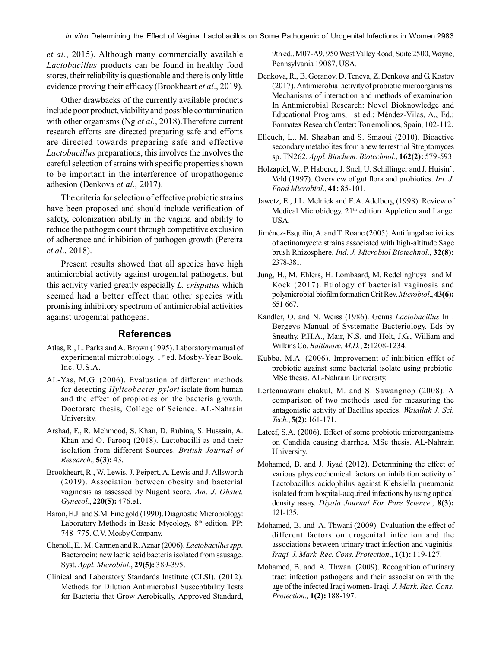*In vitro* Determining the Effect of Vaginal Lactobacillus on Some Pathogenic of Urogenital Infections in Women 2983

*et al*., 2015). Although many commercially available *Lactobacillus* products can be found in healthy food stores, their reliability is questionable and there is only little evidence proving their efficacy (Brookheart *et al*., 2019).

Other drawbacks of the currently available products include poor product, viability and possible contamination with other organisms (Ng *et al.*, 2018).Therefore current research efforts are directed preparing safe and efforts are directed towards preparing safe and effective *Lactobacillus* preparations, this involves the involves the careful selection of strains with specific properties shown to be important in the interference of uropathogenic adhesion (Denkova *et al*., 2017).

The criteria for selection of effective probiotic strains have been proposed and should include verification of safety, colonization ability in the vagina and ability to reduce the pathogen count through competitive exclusion of adherence and inhibition of pathogen growth (Pereira *et al*., 2018).

Present results showed that all species have high antimicrobial activity against urogenital pathogens, but this activity varied greatly especially *L. crispatus* which seemed had a better effect than other species with promising inhibitory spectrum of antimicrobial activities against urogenital pathogens.

## **References**

- Atlas, R., L. Parks and A. Brown (1995). Laboratory manual of experimental microbiology. 1<sup>st</sup> ed. Mosby-Year Book. Inc. U.S.A.
- AL-Yas, M.G. (2006). Evaluation of different methods for detecting *Hylicobacter pylori* isolate from human and the effect of propiotics on the bacteria growth. Doctorate thesis, College of Science. AL-Nahrain University.
- Arshad, F., R. Mehmood, S. Khan, D. Rubina, S. Hussain, A. Khan and O. Farooq (2018). Lactobacilli as and their isolation from different Sources. *British Journal of Research.,* **5(3):** 43.
- Brookheart, R., W. Lewis, J. Peipert, A. Lewis and J. Allsworth (2019). Association between obesity and bacterial vaginosis as assessed by Nugent score. *Am. J. Obstet. Gynecol.*, **220(5):** 476.e1.
- Baron, E.J. and S.M. Fine gold (1990). Diagnostic Microbiology: Laboratory Methods in Basic Mycology. 8<sup>th</sup> edition. PP: 748- 775. C.V. Mosby Company.
- Chenoll, E., M. Carmen and R. Aznar (2006). *Lactobacillusspp*. Bacterocin: new lactic acid bacteria isolated from sausage. Syst. *Appl. Microbiol*., **29(5):** 389-395.
- Clinical and Laboratory Standards Institute (CLSI). (2012). Methods for Dilution Antimicrobial Susceptibility Tests for Bacteria that Grow Aerobically, Approved Standard,

9th ed., M07-A9. 950 West Valley Road, Suite 2500, Wayne, Pennsylvania 19087, USA.

- Denkova, R., B. Goranov, D. Teneva, Z. Denkova and G. Kostov (2017). Antimicrobial activity of probiotic microorganisms: Mechanisms of interaction and methods of examination. In Antimicrobial Research: Novel Bioknowledge and Educational Programs, 1st ed.; Méndez-Vilas, A., Ed.; Formatex Research Center: Torremolinos, Spain, 102-112.
- Elleuch, L., M. Shaaban and S. Smaoui (2010). Bioactive secondary metabolites from anew terrestrial Streptomyces sp. TN262. *Appl. Biochem. Biotechnol*., **162(2):** 579-593.
- Holzapfel, W., P. Haberer, J. Snel, U. Schillinger and J. Huisin't Veld (1997). Overview of gut flora and probiotics. *Int. J. Food Microbiol*., **41:** 85-101.
- Jawetz, E., J.L. Melnick and E.A. Adelberg (1998). Review of Medical Microbidogy. 21<sup>th</sup> edition. Appletion and Lange. USA.
- Jiménez-Esquilín, A. and T. Roane (2005). Antifungal activities of actinomycete strains associated with high-altitude Sage brush Rhizosphere. *Ind. J. Microbiol Biotechnol*., **32(8):** 2378-381.
- Jung, H., M. Ehlers, H. Lombaard, M. Redelinghuys and M. Kock (2017). Etiology of bacterial vaginosis and polymicrobial biofilm formation Crit Rev. *Microbiol*., **43(6):** 651-667.
- Kandler, O. and N. Weiss (1986). Genus *Lactobacillus* In : Bergey's Manual of Systematic Bacteriology. Eds by Sneathy, P.H.A., Mair, N.S. and Holt, J.G., William and Wilkins Co. *Baltimore. M.D.*, **2:**1208-1234.
- Kubba, M.A. (2006). Improvement of inhibition efffct of probiotic against some bacterial isolate using prebiotic. MSc thesis. AL-Nahrain University.
- Lertcanawani chakul, M. and S. Sawangnop (2008). A comparison of two methods used for measuring the antagonistic activity of Bacillus species. *Walailak J. Sci. Tech.*, **5(2):** 161-171.
- Lateef, S.A. (2006). Effect of some probiotic microorganisms on Candida causing diarrhea. MSc thesis. AL-Nahrain University.
- Mohamed, B. and J. Jiyad (2012). Determining the effect of various physicochemical factors on inhibition activity of Lactobacillus acidophilus against Klebsiella pneumonia isolated from hospital-acquired infections by using optical density assay. *Diyala Journal For Pure Science.,* **8(3):** 121-135.
- Mohamed, B. and A. Thwani (2009). Evaluation the effect of different factors on urogenital infection and the associations between urinary tract infection and vaginitis. *Iraqi. J. Mark. Rec. Cons. Protection*., **1(1):** 119-127.
- Mohamed, B. and A. Thwani (2009). Recognition of urinary tract infection pathogens and their association with the age of the infected Iraqi women- Iraqi. *J. Mark. Rec. Cons. Protection.,* **1(2):** 188-197.